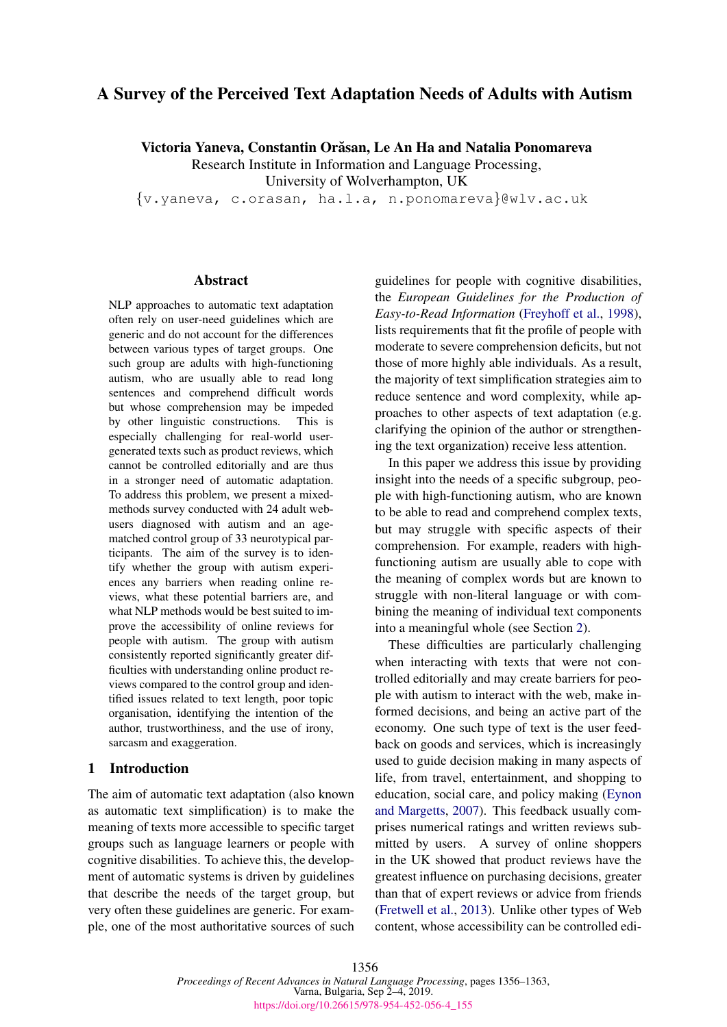# A Survey of the Perceived Text Adaptation Needs of Adults with Autism

Victoria Yaneva, Constantin Orasan, Le An Ha and Natalia Ponomareva ˘

Research Institute in Information and Language Processing,

University of Wolverhampton, UK

{v.yaneva, c.orasan, ha.l.a, n.ponomareva}@wlv.ac.uk

#### Abstract

NLP approaches to automatic text adaptation often rely on user-need guidelines which are generic and do not account for the differences between various types of target groups. One such group are adults with high-functioning autism, who are usually able to read long sentences and comprehend difficult words but whose comprehension may be impeded by other linguistic constructions. This is especially challenging for real-world usergenerated texts such as product reviews, which cannot be controlled editorially and are thus in a stronger need of automatic adaptation. To address this problem, we present a mixedmethods survey conducted with 24 adult webusers diagnosed with autism and an agematched control group of 33 neurotypical participants. The aim of the survey is to identify whether the group with autism experiences any barriers when reading online reviews, what these potential barriers are, and what NLP methods would be best suited to improve the accessibility of online reviews for people with autism. The group with autism consistently reported significantly greater difficulties with understanding online product reviews compared to the control group and identified issues related to text length, poor topic organisation, identifying the intention of the author, trustworthiness, and the use of irony, sarcasm and exaggeration.

## 1 Introduction

The aim of automatic text adaptation (also known as automatic text simplification) is to make the meaning of texts more accessible to specific target groups such as language learners or people with cognitive disabilities. To achieve this, the development of automatic systems is driven by guidelines that describe the needs of the target group, but very often these guidelines are generic. For example, one of the most authoritative sources of such

guidelines for people with cognitive disabilities, the *European Guidelines for the Production of Easy-to-Read Information* [\(Freyhoff et al.,](#page-6-0) [1998\)](#page-6-0), lists requirements that fit the profile of people with moderate to severe comprehension deficits, but not those of more highly able individuals. As a result, the majority of text simplification strategies aim to reduce sentence and word complexity, while approaches to other aspects of text adaptation (e.g. clarifying the opinion of the author or strengthening the text organization) receive less attention.

In this paper we address this issue by providing insight into the needs of a specific subgroup, people with high-functioning autism, who are known to be able to read and comprehend complex texts, but may struggle with specific aspects of their comprehension. For example, readers with highfunctioning autism are usually able to cope with the meaning of complex words but are known to struggle with non-literal language or with combining the meaning of individual text components into a meaningful whole (see Section [2\)](#page-1-0).

These difficulties are particularly challenging when interacting with texts that were not controlled editorially and may create barriers for people with autism to interact with the web, make informed decisions, and being an active part of the economy. One such type of text is the user feedback on goods and services, which is increasingly used to guide decision making in many aspects of life, from travel, entertainment, and shopping to education, social care, and policy making [\(Eynon](#page-6-1) [and Margetts,](#page-6-1) [2007\)](#page-6-1). This feedback usually comprises numerical ratings and written reviews submitted by users. A survey of online shoppers in the UK showed that product reviews have the greatest influence on purchasing decisions, greater than that of expert reviews or advice from friends [\(Fretwell et al.,](#page-6-2) [2013\)](#page-6-2). Unlike other types of Web content, whose accessibility can be controlled edi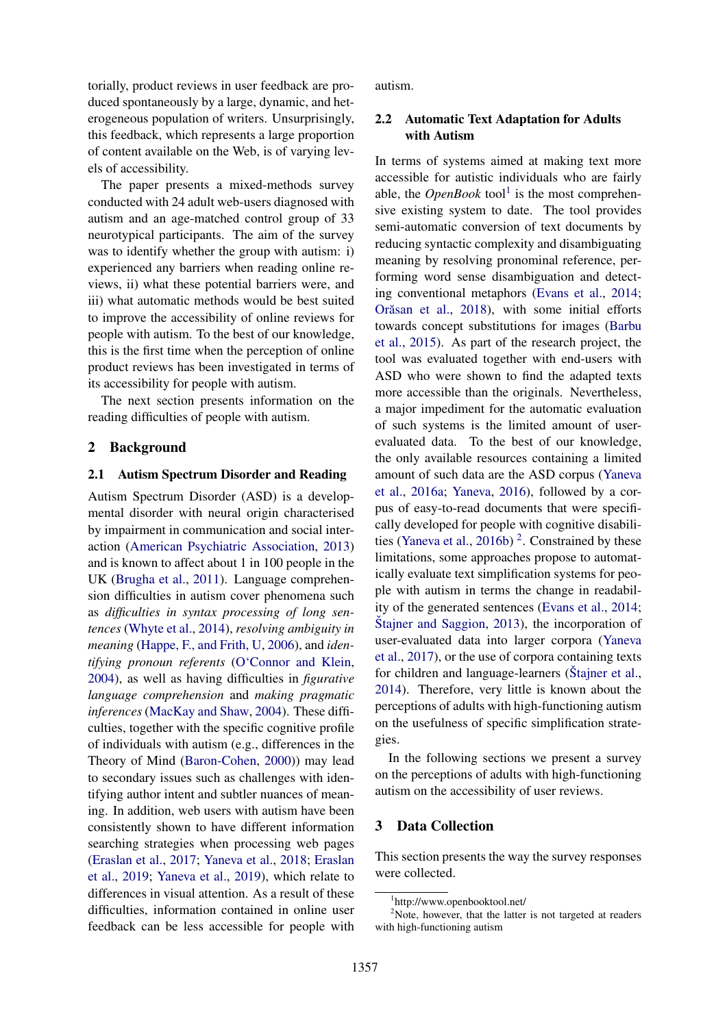torially, product reviews in user feedback are produced spontaneously by a large, dynamic, and heterogeneous population of writers. Unsurprisingly, this feedback, which represents a large proportion of content available on the Web, is of varying levels of accessibility.

The paper presents a mixed-methods survey conducted with 24 adult web-users diagnosed with autism and an age-matched control group of 33 neurotypical participants. The aim of the survey was to identify whether the group with autism: i) experienced any barriers when reading online reviews, ii) what these potential barriers were, and iii) what automatic methods would be best suited to improve the accessibility of online reviews for people with autism. To the best of our knowledge, this is the first time when the perception of online product reviews has been investigated in terms of its accessibility for people with autism.

The next section presents information on the reading difficulties of people with autism.

## <span id="page-1-0"></span>2 Background

### 2.1 Autism Spectrum Disorder and Reading

Autism Spectrum Disorder (ASD) is a developmental disorder with neural origin characterised by impairment in communication and social interaction [\(American Psychiatric Association,](#page-6-3) [2013\)](#page-6-3) and is known to affect about 1 in 100 people in the UK [\(Brugha et al.,](#page-6-4) [2011\)](#page-6-4). Language comprehension difficulties in autism cover phenomena such as *difficulties in syntax processing of long sentences* [\(Whyte et al.,](#page-6-5) [2014\)](#page-6-5), *resolving ambiguity in meaning* [\(Happe, F., and Frith, U,](#page-6-6) [2006\)](#page-6-6), and *identifying pronoun referents* [\(O'Connor and Klein,](#page-6-7) [2004\)](#page-6-7), as well as having difficulties in *figurative language comprehension* and *making pragmatic inferences* [\(MacKay and Shaw,](#page-6-8) [2004\)](#page-6-8). These difficulties, together with the specific cognitive profile of individuals with autism (e.g., differences in the Theory of Mind [\(Baron-Cohen,](#page-6-9) [2000\)](#page-6-9)) may lead to secondary issues such as challenges with identifying author intent and subtler nuances of meaning. In addition, web users with autism have been consistently shown to have different information searching strategies when processing web pages [\(Eraslan et al.,](#page-6-10) [2017;](#page-6-10) [Yaneva et al.,](#page-6-11) [2018;](#page-6-11) [Eraslan](#page-6-12) [et al.,](#page-6-12) [2019;](#page-6-12) [Yaneva et al.,](#page-6-13) [2019\)](#page-6-13), which relate to differences in visual attention. As a result of these difficulties, information contained in online user feedback can be less accessible for people with autism.

## 2.2 Automatic Text Adaptation for Adults with Autism

In terms of systems aimed at making text more accessible for autistic individuals who are fairly able, the *OpenBook* tool<sup>[1](#page-1-1)</sup> is the most comprehensive existing system to date. The tool provides semi-automatic conversion of text documents by reducing syntactic complexity and disambiguating meaning by resolving pronominal reference, performing word sense disambiguation and detecting conventional metaphors [\(Evans et al.,](#page-6-14) [2014;](#page-6-14) Orăsan et al., [2018\)](#page-6-15), with some initial efforts towards concept substitutions for images [\(Barbu](#page-6-16) [et al.,](#page-6-16) [2015\)](#page-6-16). As part of the research project, the tool was evaluated together with end-users with ASD who were shown to find the adapted texts more accessible than the originals. Nevertheless, a major impediment for the automatic evaluation of such systems is the limited amount of userevaluated data. To the best of our knowledge, the only available resources containing a limited amount of such data are the ASD corpus [\(Yaneva](#page-6-17) [et al.,](#page-6-17) [2016a;](#page-6-17) [Yaneva,](#page-6-18) [2016\)](#page-6-18), followed by a corpus of easy-to-read documents that were specifically developed for people with cognitive disabili-ties [\(Yaneva et al.,](#page-7-0) [2016b\)](#page-7-0)<sup>[2](#page-1-2)</sup>. Constrained by these limitations, some approaches propose to automatically evaluate text simplification systems for people with autism in terms the change in readability of the generated sentences [\(Evans et al.,](#page-6-14) [2014;](#page-6-14)  $\text{Stajner}$  and Saggion, [2013\)](#page-6-19), the incorporation of user-evaluated data into larger corpora [\(Yaneva](#page-6-20) [et al.,](#page-6-20) [2017\)](#page-6-20), or the use of corpora containing texts for children and language-learners [\(Stajner et al.](#page-6-21), [2014\)](#page-6-21). Therefore, very little is known about the perceptions of adults with high-functioning autism on the usefulness of specific simplification strategies.

In the following sections we present a survey on the perceptions of adults with high-functioning autism on the accessibility of user reviews.

## 3 Data Collection

This section presents the way the survey responses were collected.

<span id="page-1-2"></span><span id="page-1-1"></span><sup>1</sup> http://www.openbooktool.net/

 $2$ Note, however, that the latter is not targeted at readers with high-functioning autism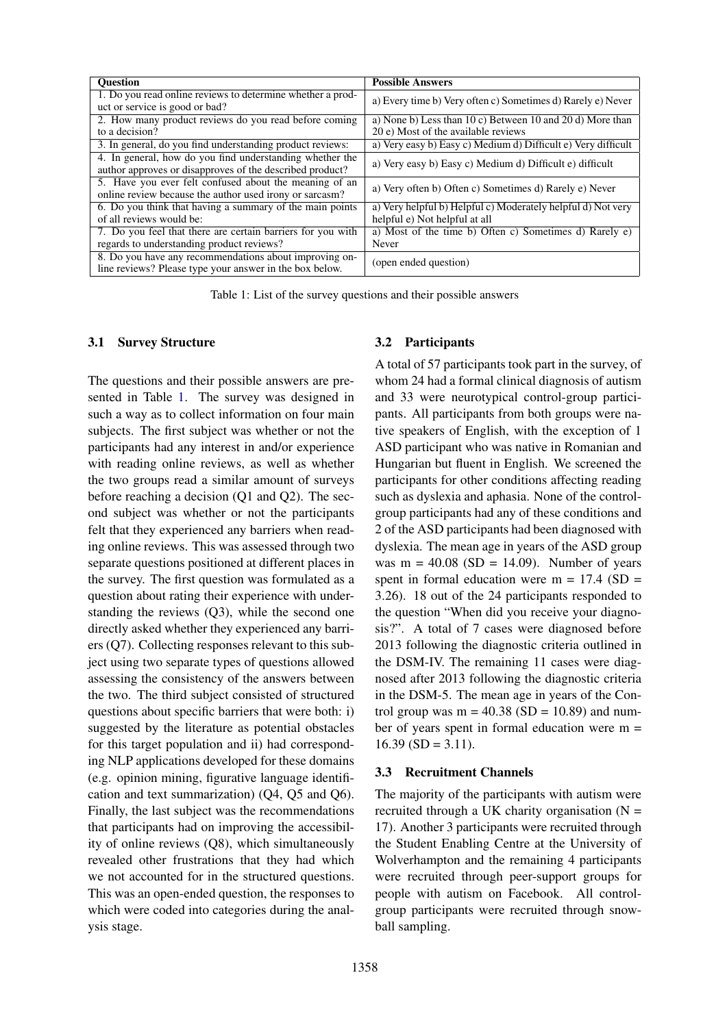<span id="page-2-0"></span>

| <b>Ouestion</b>                                                                                                      | <b>Possible Answers</b>                                                                          |
|----------------------------------------------------------------------------------------------------------------------|--------------------------------------------------------------------------------------------------|
| 1. Do you read online reviews to determine whether a prod-<br>uct or service is good or bad?                         | a) Every time b) Very often c) Sometimes d) Rarely e) Never                                      |
| 2. How many product reviews do you read before coming<br>to a decision?                                              | a) None b) Less than 10 c) Between 10 and 20 d) More than<br>20 e) Most of the available reviews |
| 3. In general, do you find understanding product reviews:                                                            | a) Very easy b) Easy c) Medium d) Difficult e) Very difficult                                    |
| 4. In general, how do you find understanding whether the<br>author approves or disapproves of the described product? | a) Very easy b) Easy c) Medium d) Difficult e) difficult                                         |
| 5. Have you ever felt confused about the meaning of an<br>online review because the author used irony or sarcasm?    | a) Very often b) Often c) Sometimes d) Rarely e) Never                                           |
| 6. Do you think that having a summary of the main points<br>of all reviews would be:                                 | a) Very helpful b) Helpful c) Moderately helpful d) Not very<br>helpful e) Not helpful at all    |
| 7. Do you feel that there are certain barriers for you with                                                          | a) Most of the time b) Often c) Sometimes d) Rarely e)                                           |
| regards to understanding product reviews?                                                                            | Never                                                                                            |
| 8. Do you have any recommendations about improving on-<br>line reviews? Please type your answer in the box below.    | (open ended question)                                                                            |

Table 1: List of the survey questions and their possible answers

### 3.1 Survey Structure

The questions and their possible answers are presented in Table [1.](#page-2-0) The survey was designed in such a way as to collect information on four main subjects. The first subject was whether or not the participants had any interest in and/or experience with reading online reviews, as well as whether the two groups read a similar amount of surveys before reaching a decision (Q1 and Q2). The second subject was whether or not the participants felt that they experienced any barriers when reading online reviews. This was assessed through two separate questions positioned at different places in the survey. The first question was formulated as a question about rating their experience with understanding the reviews (Q3), while the second one directly asked whether they experienced any barriers (Q7). Collecting responses relevant to this subject using two separate types of questions allowed assessing the consistency of the answers between the two. The third subject consisted of structured questions about specific barriers that were both: i) suggested by the literature as potential obstacles for this target population and ii) had corresponding NLP applications developed for these domains (e.g. opinion mining, figurative language identification and text summarization) (Q4, Q5 and Q6). Finally, the last subject was the recommendations that participants had on improving the accessibility of online reviews (Q8), which simultaneously revealed other frustrations that they had which we not accounted for in the structured questions. This was an open-ended question, the responses to which were coded into categories during the analysis stage.

### 3.2 Participants

A total of 57 participants took part in the survey, of whom 24 had a formal clinical diagnosis of autism and 33 were neurotypical control-group participants. All participants from both groups were native speakers of English, with the exception of 1 ASD participant who was native in Romanian and Hungarian but fluent in English. We screened the participants for other conditions affecting reading such as dyslexia and aphasia. None of the controlgroup participants had any of these conditions and 2 of the ASD participants had been diagnosed with dyslexia. The mean age in years of the ASD group was  $m = 40.08$  (SD = 14.09). Number of years spent in formal education were  $m = 17.4$  (SD = 3.26). 18 out of the 24 participants responded to the question "When did you receive your diagnosis?". A total of 7 cases were diagnosed before 2013 following the diagnostic criteria outlined in the DSM-IV. The remaining 11 cases were diagnosed after 2013 following the diagnostic criteria in the DSM-5. The mean age in years of the Control group was  $m = 40.38$  (SD = 10.89) and number of years spent in formal education were m =  $16.39$  (SD = 3.11).

### 3.3 Recruitment Channels

The majority of the participants with autism were recruited through a UK charity organisation  $(N =$ 17). Another 3 participants were recruited through the Student Enabling Centre at the University of Wolverhampton and the remaining 4 participants were recruited through peer-support groups for people with autism on Facebook. All controlgroup participants were recruited through snowball sampling.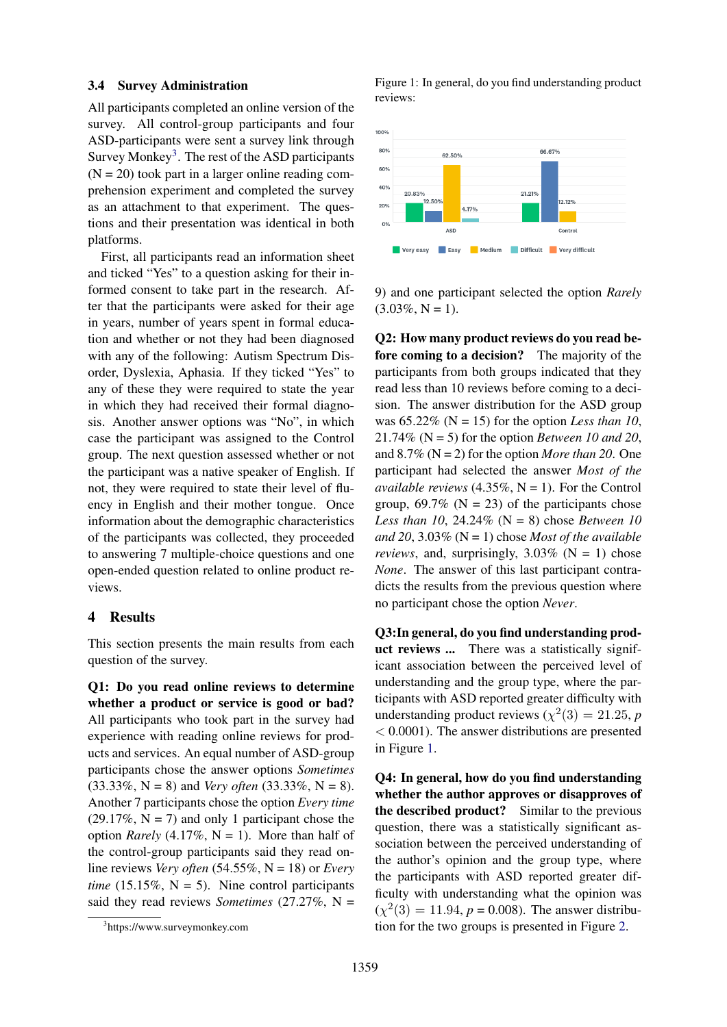#### 3.4 Survey Administration

All participants completed an online version of the survey. All control-group participants and four ASD-participants were sent a survey link through Survey Monkey<sup>[3](#page-3-0)</sup>. The rest of the ASD participants  $(N = 20)$  took part in a larger online reading comprehension experiment and completed the survey as an attachment to that experiment. The questions and their presentation was identical in both platforms.

First, all participants read an information sheet and ticked "Yes" to a question asking for their informed consent to take part in the research. After that the participants were asked for their age in years, number of years spent in formal education and whether or not they had been diagnosed with any of the following: Autism Spectrum Disorder, Dyslexia, Aphasia. If they ticked "Yes" to any of these they were required to state the year in which they had received their formal diagnosis. Another answer options was "No", in which case the participant was assigned to the Control group. The next question assessed whether or not the participant was a native speaker of English. If not, they were required to state their level of fluency in English and their mother tongue. Once information about the demographic characteristics of the participants was collected, they proceeded to answering 7 multiple-choice questions and one open-ended question related to online product reviews.

### 4 Results

This section presents the main results from each question of the survey.

Q1: Do you read online reviews to determine whether a product or service is good or bad? All participants who took part in the survey had experience with reading online reviews for products and services. An equal number of ASD-group participants chose the answer options *Sometimes*  $(33.33\%, N = 8)$  and *Very often*  $(33.33\%, N = 8)$ . Another 7 participants chose the option *Every time*  $(29.17\%, N = 7)$  and only 1 participant chose the option *Rarely* (4.17%,  $N = 1$ ). More than half of the control-group participants said they read online reviews *Very often* (54.55%,  $N = 18$ ) or *Every time* (15.15%,  $N = 5$ ). Nine control participants said they read reviews *Sometimes* (27.27%, N = <span id="page-3-1"></span>Figure 1: In general, do you find understanding product reviews:



9) and one participant selected the option *Rarely*  $(3.03\%, N = 1)$ .

Q2: How many product reviews do you read before coming to a decision? The majority of the participants from both groups indicated that they read less than 10 reviews before coming to a decision. The answer distribution for the ASD group was  $65.22\%$  (N = 15) for the option *Less than 10*, 21.74% (N = 5) for the option *Between 10 and 20*, and  $8.7\%$  (N = 2) for the option *More than 20*. One participant had selected the answer *Most of the available reviews*  $(4.35\%, N = 1)$ . For the Control group,  $69.7\%$  (N = 23) of the participants chose *Less than 10*, 24.24% (N = 8) chose *Between 10 and 20*, 3.03% ( $N = 1$ ) chose *Most of the available reviews*, and, surprisingly,  $3.03\%$  (N = 1) chose *None*. The answer of this last participant contradicts the results from the previous question where no participant chose the option *Never*.

Q3:In general, do you find understanding product reviews ... There was a statistically significant association between the perceived level of understanding and the group type, where the participants with ASD reported greater difficulty with understanding product reviews ( $\chi^2(3) = 21.25$ , *p*  $< 0.0001$ ). The answer distributions are presented in Figure [1.](#page-3-1)

Q4: In general, how do you find understanding whether the author approves or disapproves of the described product? Similar to the previous question, there was a statistically significant association between the perceived understanding of the author's opinion and the group type, where the participants with ASD reported greater difficulty with understanding what the opinion was  $(\chi^2(3) = 11.94, p = 0.008)$ . The answer distribution for the two groups is presented in Figure [2.](#page-4-0)

<span id="page-3-0"></span><sup>3</sup> https://www.surveymonkey.com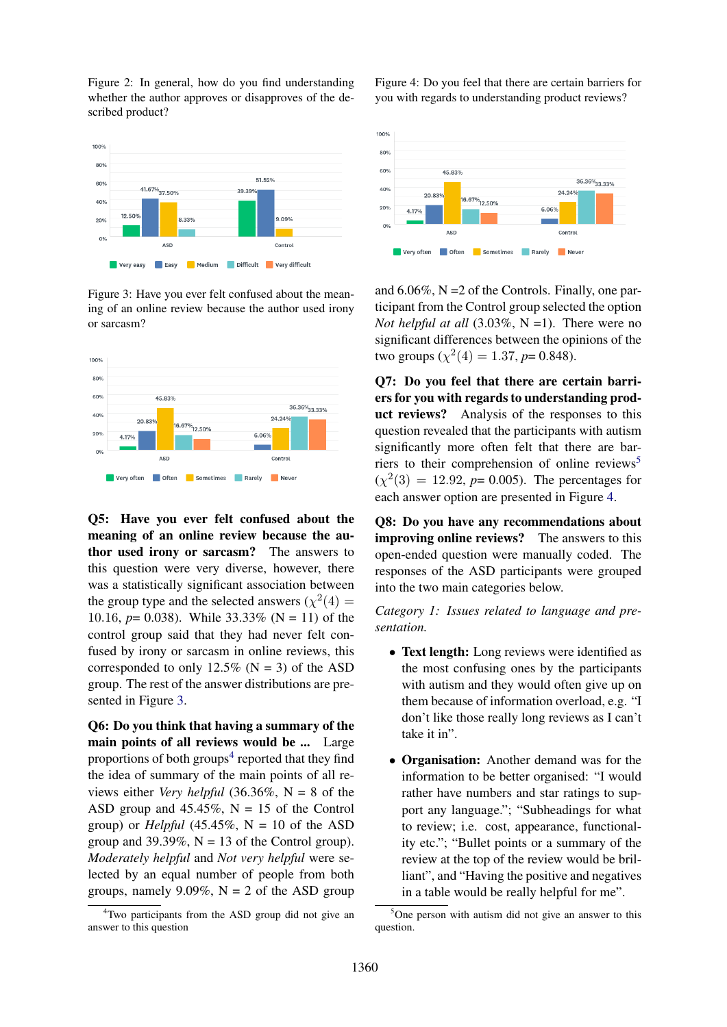<span id="page-4-0"></span>Figure 2: In general, how do you find understanding whether the author approves or disapproves of the described product?



<span id="page-4-1"></span>Figure 3: Have you ever felt confused about the meaning of an online review because the author used irony or sarcasm?



Q5: Have you ever felt confused about the meaning of an online review because the author used irony or sarcasm? The answers to this question were very diverse, however, there was a statistically significant association between the group type and the selected answers ( $\chi^2(4)$  = 10.16,  $p = 0.038$ ). While  $33.33\%$  (N = 11) of the control group said that they had never felt confused by irony or sarcasm in online reviews, this corresponded to only  $12.5\%$  (N = 3) of the ASD group. The rest of the answer distributions are presented in Figure [3.](#page-4-1)

Q6: Do you think that having a summary of the main points of all reviews would be ... Large proportions of both groups<sup>[4](#page-4-2)</sup> reported that they find the idea of summary of the main points of all reviews either *Very helpful* (36.36%, N = 8 of the ASD group and  $45.45\%$ , N = 15 of the Control group) or *Helpful* (45.45%,  $N = 10$  of the ASD group and 39.39%,  $N = 13$  of the Control group). *Moderately helpful* and *Not very helpful* were selected by an equal number of people from both groups, namely 9.09%,  $N = 2$  of the ASD group <span id="page-4-4"></span>Figure 4: Do you feel that there are certain barriers for you with regards to understanding product reviews?



and  $6.06\%$ , N = 2 of the Controls. Finally, one participant from the Control group selected the option *Not helpful at all* (3.03%, N =1). There were no significant differences between the opinions of the two groups  $(\chi^2(4) = 1.37, p = 0.848)$ .

Q7: Do you feel that there are certain barriers for you with regards to understanding product reviews? Analysis of the responses to this question revealed that the participants with autism significantly more often felt that there are bar-riers to their comprehension of online reviews<sup>[5](#page-4-3)</sup>  $(\chi^2(3) = 12.92, p = 0.005)$ . The percentages for each answer option are presented in Figure [4.](#page-4-4)

Q8: Do you have any recommendations about improving online reviews? The answers to this open-ended question were manually coded. The responses of the ASD participants were grouped into the two main categories below.

*Category 1: Issues related to language and presentation.*

- Text length: Long reviews were identified as the most confusing ones by the participants with autism and they would often give up on them because of information overload, e.g. "I don't like those really long reviews as I can't take it in".
- Organisation: Another demand was for the information to be better organised: "I would rather have numbers and star ratings to support any language."; "Subheadings for what to review; i.e. cost, appearance, functionality etc."; "Bullet points or a summary of the review at the top of the review would be brilliant", and "Having the positive and negatives in a table would be really helpful for me".

<span id="page-4-2"></span><sup>4</sup>Two participants from the ASD group did not give an answer to this question

<span id="page-4-3"></span><sup>5</sup>One person with autism did not give an answer to this question.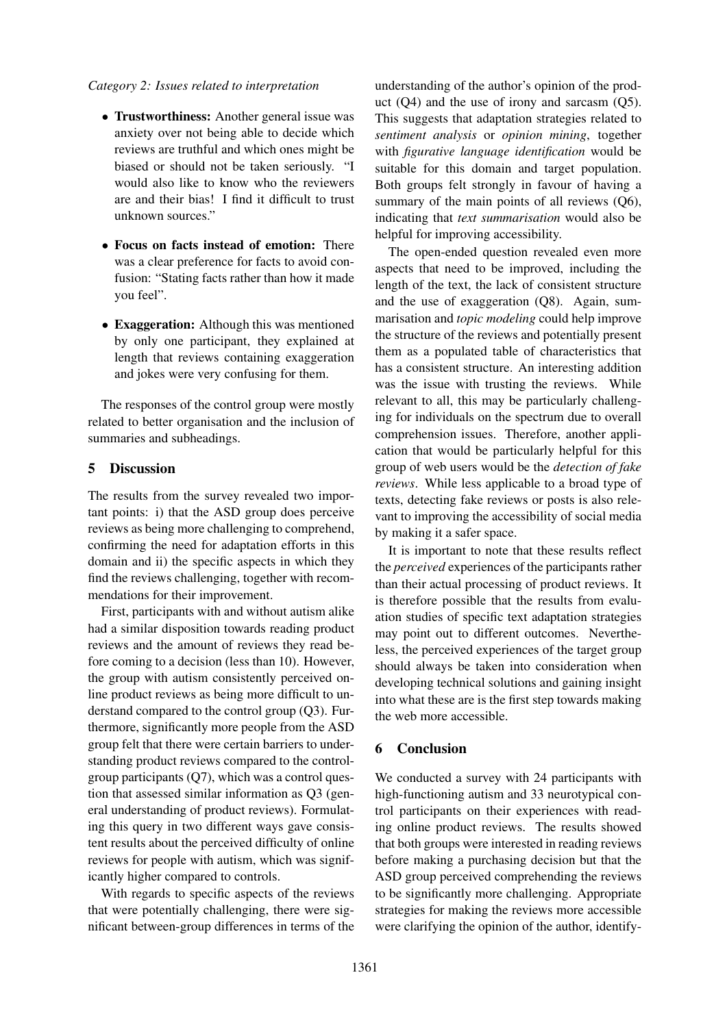#### *Category 2: Issues related to interpretation*

- Trustworthiness: Another general issue was anxiety over not being able to decide which reviews are truthful and which ones might be biased or should not be taken seriously. "I would also like to know who the reviewers are and their bias! I find it difficult to trust unknown sources."
- Focus on facts instead of emotion: There was a clear preference for facts to avoid confusion: "Stating facts rather than how it made you feel".
- Exaggeration: Although this was mentioned by only one participant, they explained at length that reviews containing exaggeration and jokes were very confusing for them.

The responses of the control group were mostly related to better organisation and the inclusion of summaries and subheadings.

## 5 Discussion

The results from the survey revealed two important points: i) that the ASD group does perceive reviews as being more challenging to comprehend, confirming the need for adaptation efforts in this domain and ii) the specific aspects in which they find the reviews challenging, together with recommendations for their improvement.

First, participants with and without autism alike had a similar disposition towards reading product reviews and the amount of reviews they read before coming to a decision (less than 10). However, the group with autism consistently perceived online product reviews as being more difficult to understand compared to the control group (Q3). Furthermore, significantly more people from the ASD group felt that there were certain barriers to understanding product reviews compared to the controlgroup participants (Q7), which was a control question that assessed similar information as Q3 (general understanding of product reviews). Formulating this query in two different ways gave consistent results about the perceived difficulty of online reviews for people with autism, which was significantly higher compared to controls.

With regards to specific aspects of the reviews that were potentially challenging, there were significant between-group differences in terms of the understanding of the author's opinion of the product (Q4) and the use of irony and sarcasm (Q5). This suggests that adaptation strategies related to *sentiment analysis* or *opinion mining*, together with *figurative language identification* would be suitable for this domain and target population. Both groups felt strongly in favour of having a summary of the main points of all reviews  $(Q6)$ , indicating that *text summarisation* would also be helpful for improving accessibility.

The open-ended question revealed even more aspects that need to be improved, including the length of the text, the lack of consistent structure and the use of exaggeration (Q8). Again, summarisation and *topic modeling* could help improve the structure of the reviews and potentially present them as a populated table of characteristics that has a consistent structure. An interesting addition was the issue with trusting the reviews. While relevant to all, this may be particularly challenging for individuals on the spectrum due to overall comprehension issues. Therefore, another application that would be particularly helpful for this group of web users would be the *detection of fake reviews*. While less applicable to a broad type of texts, detecting fake reviews or posts is also relevant to improving the accessibility of social media by making it a safer space.

It is important to note that these results reflect the *perceived* experiences of the participants rather than their actual processing of product reviews. It is therefore possible that the results from evaluation studies of specific text adaptation strategies may point out to different outcomes. Nevertheless, the perceived experiences of the target group should always be taken into consideration when developing technical solutions and gaining insight into what these are is the first step towards making the web more accessible.

## 6 Conclusion

We conducted a survey with 24 participants with high-functioning autism and 33 neurotypical control participants on their experiences with reading online product reviews. The results showed that both groups were interested in reading reviews before making a purchasing decision but that the ASD group perceived comprehending the reviews to be significantly more challenging. Appropriate strategies for making the reviews more accessible were clarifying the opinion of the author, identify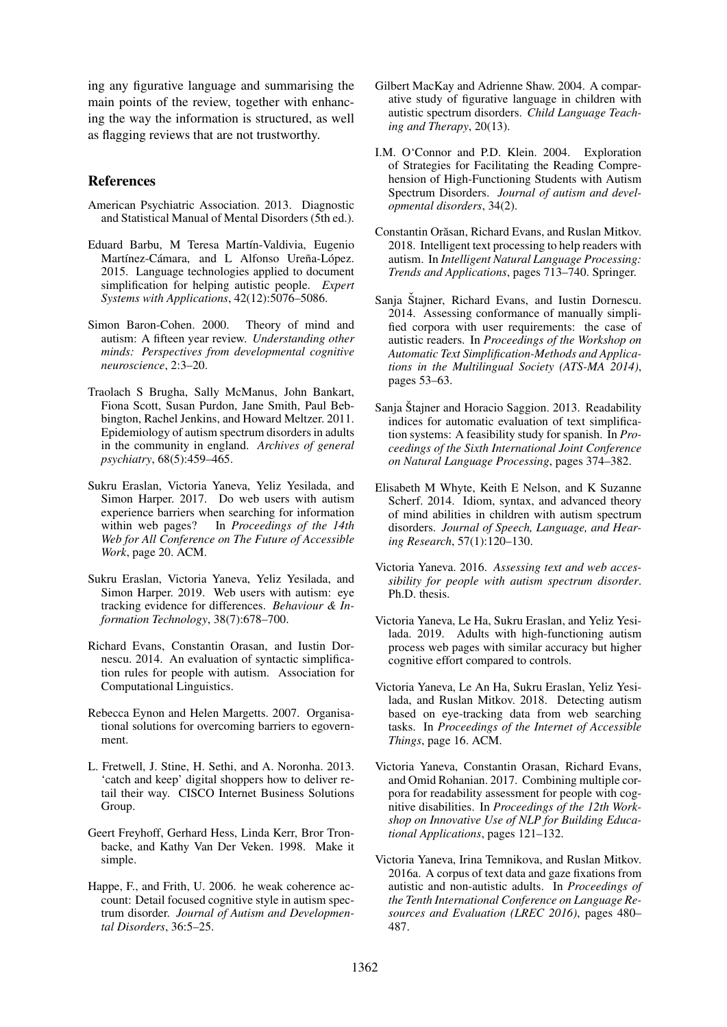ing any figurative language and summarising the main points of the review, together with enhancing the way the information is structured, as well as flagging reviews that are not trustworthy.

## References

- <span id="page-6-3"></span>American Psychiatric Association. 2013. Diagnostic and Statistical Manual of Mental Disorders (5th ed.).
- <span id="page-6-16"></span>Eduard Barbu, M Teresa Martín-Valdivia, Eugenio Martínez-Cámara, and L Alfonso Ureña-López. 2015. Language technologies applied to document simplification for helping autistic people. *Expert Systems with Applications*, 42(12):5076–5086.
- <span id="page-6-9"></span>Simon Baron-Cohen. 2000. Theory of mind and autism: A fifteen year review. *Understanding other minds: Perspectives from developmental cognitive neuroscience*, 2:3–20.
- <span id="page-6-4"></span>Traolach S Brugha, Sally McManus, John Bankart, Fiona Scott, Susan Purdon, Jane Smith, Paul Bebbington, Rachel Jenkins, and Howard Meltzer. 2011. Epidemiology of autism spectrum disorders in adults in the community in england. *Archives of general psychiatry*, 68(5):459–465.
- <span id="page-6-10"></span>Sukru Eraslan, Victoria Yaneva, Yeliz Yesilada, and Simon Harper. 2017. Do web users with autism experience barriers when searching for information within web pages? In *Proceedings of the 14th Web for All Conference on The Future of Accessible Work*, page 20. ACM.
- <span id="page-6-12"></span>Sukru Eraslan, Victoria Yaneva, Yeliz Yesilada, and Simon Harper. 2019. Web users with autism: eye tracking evidence for differences. *Behaviour & Information Technology*, 38(7):678–700.
- <span id="page-6-14"></span>Richard Evans, Constantin Orasan, and Iustin Dornescu. 2014. An evaluation of syntactic simplification rules for people with autism. Association for Computational Linguistics.
- <span id="page-6-1"></span>Rebecca Eynon and Helen Margetts. 2007. Organisational solutions for overcoming barriers to egovernment.
- <span id="page-6-2"></span>L. Fretwell, J. Stine, H. Sethi, and A. Noronha. 2013. 'catch and keep' digital shoppers how to deliver retail their way. CISCO Internet Business Solutions Group.
- <span id="page-6-0"></span>Geert Freyhoff, Gerhard Hess, Linda Kerr, Bror Tronbacke, and Kathy Van Der Veken. 1998. Make it simple.
- <span id="page-6-6"></span>Happe, F., and Frith, U. 2006. he weak coherence account: Detail focused cognitive style in autism spectrum disorder. *Journal of Autism and Developmental Disorders*, 36:5–25.
- <span id="page-6-8"></span>Gilbert MacKay and Adrienne Shaw. 2004. A comparative study of figurative language in children with autistic spectrum disorders. *Child Language Teaching and Therapy*, 20(13).
- <span id="page-6-7"></span>I.M. O'Connor and P.D. Klein. 2004. Exploration of Strategies for Facilitating the Reading Comprehension of High-Functioning Students with Autism Spectrum Disorders. *Journal of autism and developmental disorders*, 34(2).
- <span id="page-6-15"></span>Constantin Orăsan, Richard Evans, and Ruslan Mitkov. 2018. Intelligent text processing to help readers with autism. In *Intelligent Natural Language Processing: Trends and Applications*, pages 713–740. Springer.
- <span id="page-6-21"></span>Sanja Štajner, Richard Evans, and Iustin Dornescu. 2014. Assessing conformance of manually simplified corpora with user requirements: the case of autistic readers. In *Proceedings of the Workshop on Automatic Text Simplification-Methods and Applications in the Multilingual Society (ATS-MA 2014)*, pages 53–63.
- <span id="page-6-19"></span>Sanja Štajner and Horacio Saggion. 2013. Readability indices for automatic evaluation of text simplification systems: A feasibility study for spanish. In *Proceedings of the Sixth International Joint Conference on Natural Language Processing*, pages 374–382.
- <span id="page-6-5"></span>Elisabeth M Whyte, Keith E Nelson, and K Suzanne Scherf. 2014. Idiom, syntax, and advanced theory of mind abilities in children with autism spectrum disorders. *Journal of Speech, Language, and Hearing Research*, 57(1):120–130.
- <span id="page-6-18"></span>Victoria Yaneva. 2016. *Assessing text and web accessibility for people with autism spectrum disorder*. Ph.D. thesis.
- <span id="page-6-13"></span>Victoria Yaneva, Le Ha, Sukru Eraslan, and Yeliz Yesilada. 2019. Adults with high-functioning autism process web pages with similar accuracy but higher cognitive effort compared to controls.
- <span id="page-6-11"></span>Victoria Yaneva, Le An Ha, Sukru Eraslan, Yeliz Yesilada, and Ruslan Mitkov. 2018. Detecting autism based on eye-tracking data from web searching tasks. In *Proceedings of the Internet of Accessible Things*, page 16. ACM.
- <span id="page-6-20"></span>Victoria Yaneva, Constantin Orasan, Richard Evans, and Omid Rohanian. 2017. Combining multiple corpora for readability assessment for people with cognitive disabilities. In *Proceedings of the 12th Workshop on Innovative Use of NLP for Building Educational Applications*, pages 121–132.
- <span id="page-6-17"></span>Victoria Yaneva, Irina Temnikova, and Ruslan Mitkov. 2016a. A corpus of text data and gaze fixations from autistic and non-autistic adults. In *Proceedings of the Tenth International Conference on Language Resources and Evaluation (LREC 2016)*, pages 480– 487.